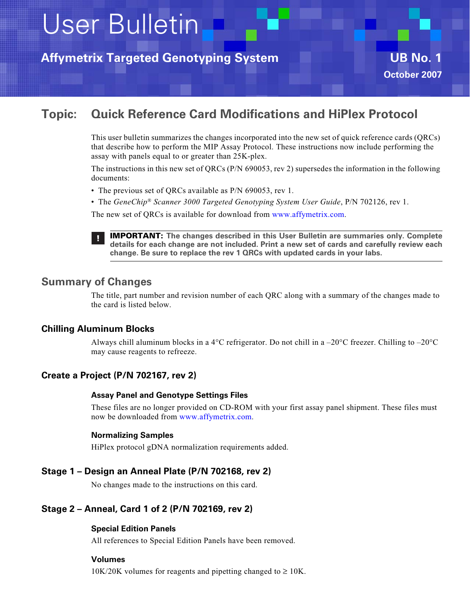User Bulletin

**Affymetrix Targeted Genotyping System UB No. 1**



# **Topic: Quick Reference Card Modifications and HiPlex Protocol**

This user bulletin summarizes the changes incorporated into the new set of quick reference cards (QRCs) that describe how to perform the MIP Assay Protocol. These instructions now include performing the assay with panels equal to or greater than 25K-plex.

The instructions in this new set of QRCs (P/N 690053, rev 2) supersedes the information in the following documents:

- The previous set of QRCs available as P/N 690053, rev 1.
- The *GeneChip® Scanner 3000 Targeted Genotyping System User Guide*, P/N 702126, rev 1.

The new set of QRCs is available for download from www.affymetrix.com.



**IMPORTANT: The changes described in this User Bulletin are summaries only. Complete details for each change are not included. Print a new set of cards and carefully review each change. Be sure to replace the rev 1 QRCs with updated cards in your labs.**

## **Summary of Changes**

The title, part number and revision number of each QRC along with a summary of the changes made to the card is listed below.

### **Chilling Aluminum Blocks**

Always chill aluminum blocks in a 4 $^{\circ}$ C refrigerator. Do not chill in a  $-20^{\circ}$ C freezer. Chilling to  $-20^{\circ}$ C may cause reagents to refreeze.

### **Create a Project (P/N 702167, rev 2)**

### **Assay Panel and Genotype Settings Files**

These files are no longer provided on CD-ROM with your first assay panel shipment. These files must now be downloaded from www.affymetrix.com.

### **Normalizing Samples**

HiPlex protocol gDNA normalization requirements added.

### **Stage 1 – Design an Anneal Plate (P/N 702168, rev 2)**

No changes made to the instructions on this card.

### **Stage 2 – Anneal, Card 1 of 2 (P/N 702169, rev 2)**

### **Special Edition Panels**

All references to Special Edition Panels have been removed.

### **Volumes**

 $10K/20K$  volumes for reagents and pipetting changed to  $\geq 10K$ .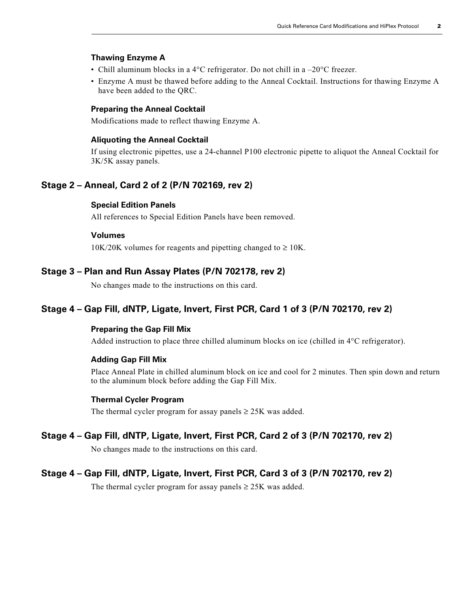#### **Thawing Enzyme A**

- Chill aluminum blocks in a 4 $\rm ^{o}$ C refrigerator. Do not chill in a  $-20\rm ^{o}$ C freezer.
- Enzyme A must be thawed before adding to the Anneal Cocktail. Instructions for thawing Enzyme A have been added to the QRC.

### **Preparing the Anneal Cocktail**

Modifications made to reflect thawing Enzyme A.

#### **Aliquoting the Anneal Cocktail**

If using electronic pipettes, use a 24-channel P100 electronic pipette to aliquot the Anneal Cocktail for 3K/5K assay panels.

### **Stage 2 – Anneal, Card 2 of 2 (P/N 702169, rev 2)**

### **Special Edition Panels**

All references to Special Edition Panels have been removed.

### **Volumes**

 $10K/20K$  volumes for reagents and pipetting changed to  $\geq 10K$ .

### **Stage 3 – Plan and Run Assay Plates (P/N 702178, rev 2)**

No changes made to the instructions on this card.

### **Stage 4 – Gap Fill, dNTP, Ligate, Invert, First PCR, Card 1 of 3 (P/N 702170, rev 2)**

#### **Preparing the Gap Fill Mix**

Added instruction to place three chilled aluminum blocks on ice (chilled in 4°C refrigerator).

#### **Adding Gap Fill Mix**

Place Anneal Plate in chilled aluminum block on ice and cool for 2 minutes. Then spin down and return to the aluminum block before adding the Gap Fill Mix.

### **Thermal Cycler Program**

The thermal cycler program for assay panels  $\geq$  25K was added.

### **Stage 4 – Gap Fill, dNTP, Ligate, Invert, First PCR, Card 2 of 3 (P/N 702170, rev 2)**

No changes made to the instructions on this card.

### **Stage 4 – Gap Fill, dNTP, Ligate, Invert, First PCR, Card 3 of 3 (P/N 702170, rev 2)**

The thermal cycler program for assay panels  $\geq$  25K was added.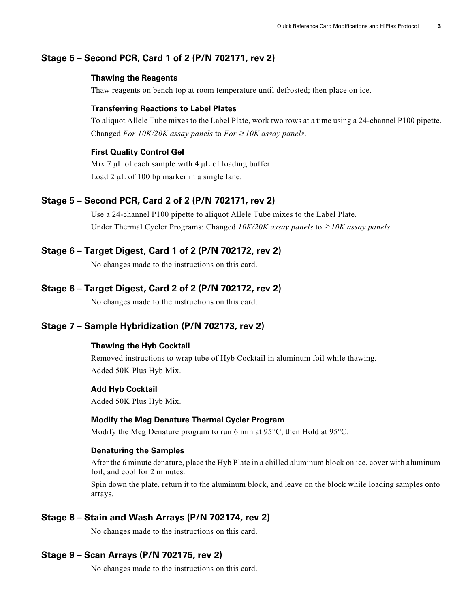### **Stage 5 – Second PCR, Card 1 of 2 (P/N 702171, rev 2)**

#### **Thawing the Reagents**

Thaw reagents on bench top at room temperature until defrosted; then place on ice.

#### **Transferring Reactions to Label Plates**

To aliquot Allele Tube mixes to the Label Plate, work two rows at a time using a 24-channel P100 pipette. Changed *For 10K/20K assay panels* to *For*  $\geq$  10K assay panels.

### **First Quality Control Gel**

Mix  $7 \mu L$  of each sample with  $4 \mu L$  of loading buffer. Load 2 μL of 100 bp marker in a single lane.

### **Stage 5 – Second PCR, Card 2 of 2 (P/N 702171, rev 2)**

Use a 24-channel P100 pipette to aliquot Allele Tube mixes to the Label Plate. Under Thermal Cycler Programs: Changed *10K/20K assay panels* to ≥ *10K assay panels*.

#### **Stage 6 – Target Digest, Card 1 of 2 (P/N 702172, rev 2)**

No changes made to the instructions on this card.

#### **Stage 6 – Target Digest, Card 2 of 2 (P/N 702172, rev 2)**

No changes made to the instructions on this card.

### **Stage 7 – Sample Hybridization (P/N 702173, rev 2)**

### **Thawing the Hyb Cocktail**

Removed instructions to wrap tube of Hyb Cocktail in aluminum foil while thawing. Added 50K Plus Hyb Mix.

#### **Add Hyb Cocktail**

Added 50K Plus Hyb Mix.

### **Modify the Meg Denature Thermal Cycler Program**

Modify the Meg Denature program to run 6 min at 95°C, then Hold at 95°C.

#### **Denaturing the Samples**

After the 6 minute denature, place the Hyb Plate in a chilled aluminum block on ice, cover with aluminum foil, and cool for 2 minutes.

Spin down the plate, return it to the aluminum block, and leave on the block while loading samples onto arrays.

### **Stage 8 – Stain and Wash Arrays (P/N 702174, rev 2)**

No changes made to the instructions on this card.

### **Stage 9 – Scan Arrays (P/N 702175, rev 2)**

No changes made to the instructions on this card.